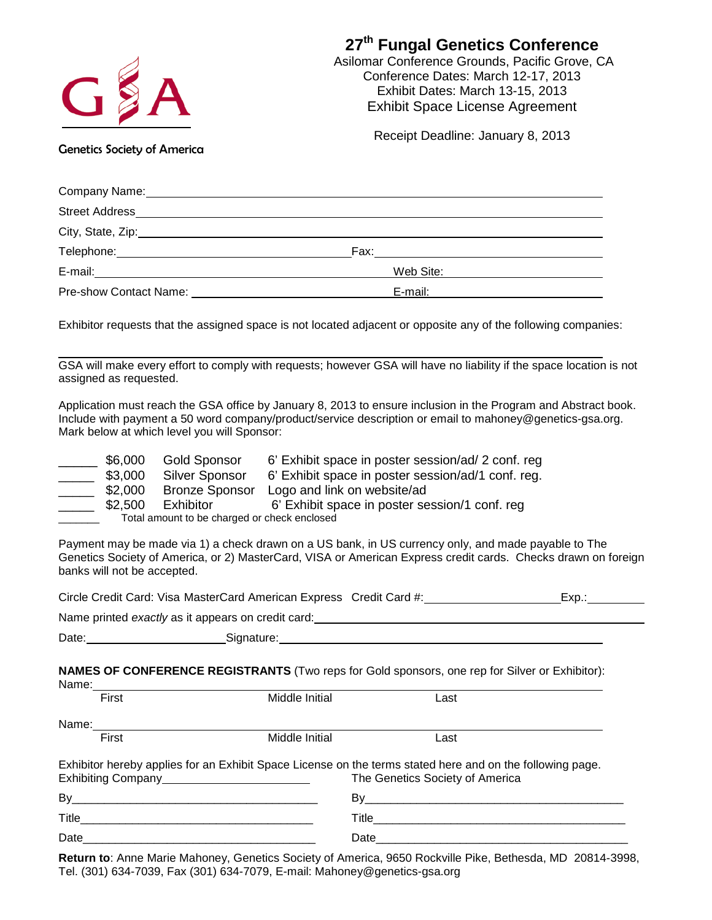| GSA                                                                         |                                                           | 27 <sup>th</sup> Fungal Genetics Conference<br>Asilomar Conference Grounds, Pacific Grove, CA<br>Conference Dates: March 12-17, 2013<br>Exhibit Dates: March 13-15, 2013<br><b>Exhibit Space License Agreement</b>                                                                                                                                                                                                                                                  |                    |
|-----------------------------------------------------------------------------|-----------------------------------------------------------|---------------------------------------------------------------------------------------------------------------------------------------------------------------------------------------------------------------------------------------------------------------------------------------------------------------------------------------------------------------------------------------------------------------------------------------------------------------------|--------------------|
| <b>Genetics Society of America</b>                                          |                                                           | Receipt Deadline: January 8, 2013                                                                                                                                                                                                                                                                                                                                                                                                                                   |                    |
|                                                                             |                                                           | Company Name: Name and Second Company Name and Second Company Name and Second Company Name and Second Company of the Company of the Company of the Company of the Company of the Company of the Company of the Company of the                                                                                                                                                                                                                                       |                    |
|                                                                             |                                                           |                                                                                                                                                                                                                                                                                                                                                                                                                                                                     |                    |
|                                                                             |                                                           |                                                                                                                                                                                                                                                                                                                                                                                                                                                                     |                    |
|                                                                             |                                                           |                                                                                                                                                                                                                                                                                                                                                                                                                                                                     |                    |
|                                                                             |                                                           | E-mail: Web Site:                                                                                                                                                                                                                                                                                                                                                                                                                                                   |                    |
|                                                                             |                                                           | Pre-show Contact Name: Name: Name: Name and Security Re-mail: Name and Security Re-mail: Name and Security Re-mail: Name and Security Re-mail: Name and Security Re-mail: Name and Security Re-mail: Name and Security Re-mail                                                                                                                                                                                                                                      |                    |
| assigned as requested.                                                      | Mark below at which level you will Sponsor:               | Exhibitor requests that the assigned space is not located adjacent or opposite any of the following companies:<br>GSA will make every effort to comply with requests; however GSA will have no liability if the space location is not<br>Application must reach the GSA office by January 8, 2013 to ensure inclusion in the Program and Abstract book.<br>Include with payment a 50 word company/product/service description or email to mahoney@genetics-gsa.org. |                    |
| $\frac{\ }{\ }$ \$6,000<br>$\frac{$3,000}{$2,000}$<br>$\frac{1}{2}$ \$2,500 | Exhibitor<br>Total amount to be charged or check enclosed | Gold Sponsor 6' Exhibit space in poster session/ad/ 2 conf. reg<br>Silver Sponsor 6' Exhibit space in poster session/ad/1 conf. reg.<br>Bronze Sponsor Logo and link on website/ad<br>6' Exhibit space in poster session/1 conf. reg                                                                                                                                                                                                                                |                    |
| banks will not be accepted.                                                 |                                                           | Payment may be made via 1) a check drawn on a US bank, in US currency only, and made payable to The<br>Genetics Society of America, or 2) MasterCard, VISA or American Express credit cards. Checks drawn on foreign                                                                                                                                                                                                                                                |                    |
|                                                                             |                                                           |                                                                                                                                                                                                                                                                                                                                                                                                                                                                     | _Ехр.:____________ |
|                                                                             |                                                           |                                                                                                                                                                                                                                                                                                                                                                                                                                                                     |                    |
|                                                                             |                                                           | Date: <u>New Signature: Signature:</u> New York: New York: New York: New York: New York: New York: New York: New York: New York: New York: New York: New York: New York: New York: New York: New York: New York: New York: New York                                                                                                                                                                                                                                 |                    |
| Name:                                                                       |                                                           | <b>NAMES OF CONFERENCE REGISTRANTS</b> (Two reps for Gold sponsors, one rep for Silver or Exhibitor):                                                                                                                                                                                                                                                                                                                                                               |                    |

| .<br>First  | Middle Initial                                                                                            | Last                            |  |
|-------------|-----------------------------------------------------------------------------------------------------------|---------------------------------|--|
| Name: Name: |                                                                                                           |                                 |  |
| First       | Middle Initial                                                                                            | Last                            |  |
|             | Exhibitor hereby applies for an Exhibit Space License on the terms stated here and on the following page. | The Genetics Society of America |  |
|             |                                                                                                           |                                 |  |
|             |                                                                                                           |                                 |  |
|             |                                                                                                           |                                 |  |

**Return to**: Anne Marie Mahoney, Genetics Society of America, 9650 Rockville Pike, Bethesda, MD 20814-3998, Tel. (301) 634-7039, Fax (301) 634-7079, E-mail: Mahoney@genetics-gsa.org